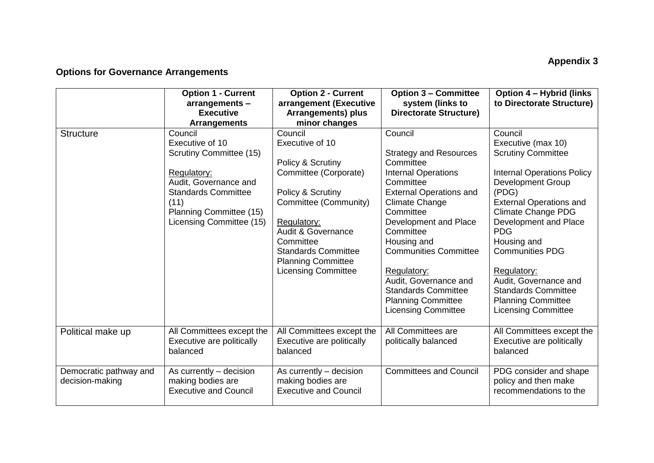## **Appendix 3**

## **Options for Governance Arrangements**

|                                           | <b>Option 1 - Current</b><br>arrangements -<br><b>Executive</b><br><b>Arrangements</b>                                                                                                            | <b>Option 2 - Current</b><br>arrangement (Executive<br><b>Arrangements) plus</b><br>minor changes                                                                                                                                                                            | <b>Option 3 - Committee</b><br>system (links to<br><b>Directorate Structure)</b>                                                                                                                                                                                                                                                                                                               | <b>Option 4 - Hybrid (links)</b><br>to Directorate Structure)                                                                                                                                                                                                                                                                                                                                                        |
|-------------------------------------------|---------------------------------------------------------------------------------------------------------------------------------------------------------------------------------------------------|------------------------------------------------------------------------------------------------------------------------------------------------------------------------------------------------------------------------------------------------------------------------------|------------------------------------------------------------------------------------------------------------------------------------------------------------------------------------------------------------------------------------------------------------------------------------------------------------------------------------------------------------------------------------------------|----------------------------------------------------------------------------------------------------------------------------------------------------------------------------------------------------------------------------------------------------------------------------------------------------------------------------------------------------------------------------------------------------------------------|
| <b>Structure</b>                          | Council<br>Executive of 10<br><b>Scrutiny Committee (15)</b><br>Regulatory:<br>Audit, Governance and<br><b>Standards Committee</b><br>(11)<br>Planning Committee (15)<br>Licensing Committee (15) | Council<br>Executive of 10<br>Policy & Scrutiny<br>Committee (Corporate)<br>Policy & Scrutiny<br>Committee (Community)<br>Regulatory:<br><b>Audit &amp; Governance</b><br>Committee<br><b>Standards Committee</b><br><b>Planning Committee</b><br><b>Licensing Committee</b> | Council<br><b>Strategy and Resources</b><br>Committee<br><b>Internal Operations</b><br>Committee<br><b>External Operations and</b><br><b>Climate Change</b><br>Committee<br>Development and Place<br>Committee<br>Housing and<br><b>Communities Committee</b><br>Regulatory:<br>Audit, Governance and<br><b>Standards Committee</b><br><b>Planning Committee</b><br><b>Licensing Committee</b> | Council<br>Executive (max 10)<br><b>Scrutiny Committee</b><br><b>Internal Operations Policy</b><br><b>Development Group</b><br>(PDG)<br><b>External Operations and</b><br><b>Climate Change PDG</b><br>Development and Place<br><b>PDG</b><br>Housing and<br><b>Communities PDG</b><br>Regulatory:<br>Audit, Governance and<br><b>Standards Committee</b><br><b>Planning Committee</b><br><b>Licensing Committee</b> |
| Political make up                         | All Committees except the<br>Executive are politically<br>balanced                                                                                                                                | All Committees except the<br>Executive are politically<br>balanced                                                                                                                                                                                                           | All Committees are<br>politically balanced                                                                                                                                                                                                                                                                                                                                                     | All Committees except the<br>Executive are politically<br>balanced                                                                                                                                                                                                                                                                                                                                                   |
| Democratic pathway and<br>decision-making | As currently – decision<br>making bodies are<br><b>Executive and Council</b>                                                                                                                      | As currently – decision<br>making bodies are<br><b>Executive and Council</b>                                                                                                                                                                                                 | <b>Committees and Council</b>                                                                                                                                                                                                                                                                                                                                                                  | PDG consider and shape<br>policy and then make<br>recommendations to the                                                                                                                                                                                                                                                                                                                                             |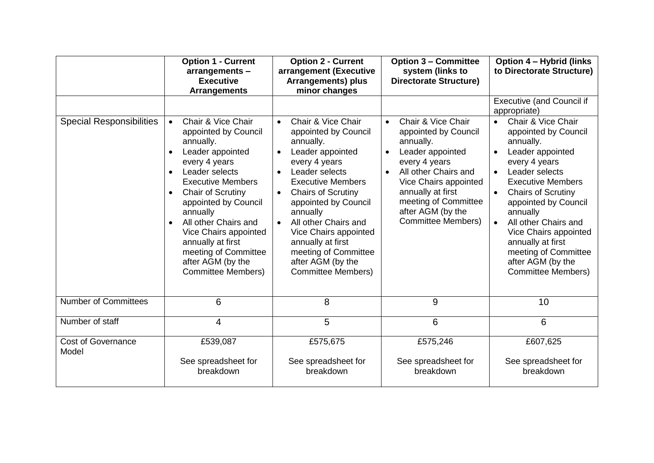|                                    | <b>Option 1 - Current</b><br>arrangements -<br><b>Executive</b><br><b>Arrangements</b>                                                                                                                                                                                                                                                                                                            | <b>Option 2 - Current</b><br>arrangement (Executive<br>Arrangements) plus<br>minor changes                                                                                                                                                                                                                                                                                                                                   | <b>Option 3 - Committee</b><br>system (links to<br><b>Directorate Structure)</b>                                                                                                                                                                                       | <b>Option 4 - Hybrid (links)</b><br>to Directorate Structure)                                                                                                                                                                                                                                                                                                                                      |
|------------------------------------|---------------------------------------------------------------------------------------------------------------------------------------------------------------------------------------------------------------------------------------------------------------------------------------------------------------------------------------------------------------------------------------------------|------------------------------------------------------------------------------------------------------------------------------------------------------------------------------------------------------------------------------------------------------------------------------------------------------------------------------------------------------------------------------------------------------------------------------|------------------------------------------------------------------------------------------------------------------------------------------------------------------------------------------------------------------------------------------------------------------------|----------------------------------------------------------------------------------------------------------------------------------------------------------------------------------------------------------------------------------------------------------------------------------------------------------------------------------------------------------------------------------------------------|
|                                    |                                                                                                                                                                                                                                                                                                                                                                                                   |                                                                                                                                                                                                                                                                                                                                                                                                                              |                                                                                                                                                                                                                                                                        | <b>Executive (and Council if</b><br>appropriate)                                                                                                                                                                                                                                                                                                                                                   |
| <b>Special Responsibilities</b>    | Chair & Vice Chair<br>appointed by Council<br>annually.<br>Leader appointed<br>$\bullet$<br>every 4 years<br>Leader selects<br>$\bullet$<br><b>Executive Members</b><br><b>Chair of Scrutiny</b><br>appointed by Council<br>annually<br>All other Chairs and<br>$\bullet$<br>Vice Chairs appointed<br>annually at first<br>meeting of Committee<br>after AGM (by the<br><b>Committee Members)</b> | Chair & Vice Chair<br>$\bullet$<br>appointed by Council<br>annually.<br>Leader appointed<br>$\bullet$<br>every 4 years<br>Leader selects<br>$\bullet$<br><b>Executive Members</b><br><b>Chairs of Scrutiny</b><br>$\bullet$<br>appointed by Council<br>annually<br>All other Chairs and<br>$\bullet$<br>Vice Chairs appointed<br>annually at first<br>meeting of Committee<br>after AGM (by the<br><b>Committee Members)</b> | Chair & Vice Chair<br>appointed by Council<br>annually.<br>Leader appointed<br>$\bullet$<br>every 4 years<br>All other Chairs and<br>$\bullet$<br>Vice Chairs appointed<br>annually at first<br>meeting of Committee<br>after AGM (by the<br><b>Committee Members)</b> | Chair & Vice Chair<br>appointed by Council<br>annually.<br>Leader appointed<br>every 4 years<br>Leader selects<br>$\bullet$<br><b>Executive Members</b><br><b>Chairs of Scrutiny</b><br>$\bullet$<br>appointed by Council<br>annually<br>All other Chairs and<br>$\bullet$<br>Vice Chairs appointed<br>annually at first<br>meeting of Committee<br>after AGM (by the<br><b>Committee Members)</b> |
| <b>Number of Committees</b>        | 6                                                                                                                                                                                                                                                                                                                                                                                                 | 8                                                                                                                                                                                                                                                                                                                                                                                                                            | 9                                                                                                                                                                                                                                                                      | 10                                                                                                                                                                                                                                                                                                                                                                                                 |
| Number of staff                    | 4                                                                                                                                                                                                                                                                                                                                                                                                 | 5                                                                                                                                                                                                                                                                                                                                                                                                                            | 6                                                                                                                                                                                                                                                                      | 6                                                                                                                                                                                                                                                                                                                                                                                                  |
| <b>Cost of Governance</b><br>Model | £539,087<br>See spreadsheet for<br>breakdown                                                                                                                                                                                                                                                                                                                                                      | £575,675<br>See spreadsheet for<br>breakdown                                                                                                                                                                                                                                                                                                                                                                                 | £575,246<br>See spreadsheet for<br>breakdown                                                                                                                                                                                                                           | £607,625<br>See spreadsheet for<br>breakdown                                                                                                                                                                                                                                                                                                                                                       |